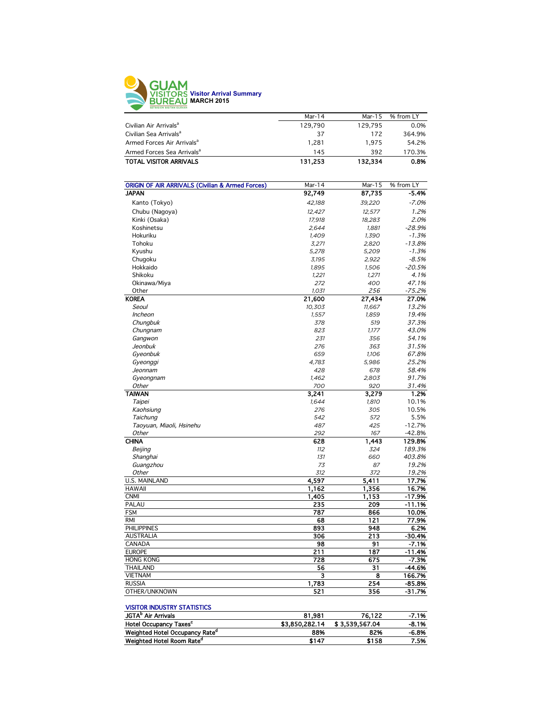

|                                        | Mar-14  | Mar-15  | % from LY |
|----------------------------------------|---------|---------|-----------|
| Civilian Air Arrivals <sup>a</sup>     | 129.790 | 129.795 | 0.0%      |
| Civilian Sea Arrivals <sup>a</sup>     | 37      | 172     | 364.9%    |
| Armed Forces Air Arrivals <sup>a</sup> | 1.281   | 1.975   | 54.2%     |
| Armed Forces Sea Arrivals <sup>a</sup> | 145     | 392     | 170.3%    |
| <b>TOTAL VISITOR ARRIVALS</b>          | 131,253 | 132.334 | 0.8%      |
|                                        |         |         |           |

| <b>ORIGIN OF AIR ARRIVALS (Civilian &amp; Armed Forces)</b> | Mar-14 | Mar-15 | % from LY |
|-------------------------------------------------------------|--------|--------|-----------|
| <b>JAPAN</b>                                                | 92,749 | 87,735 | $-5.4%$   |
| Kanto (Tokyo)                                               | 42,188 | 39,220 | $-7.0%$   |
| Chubu (Nagoya)                                              | 12,427 | 12,577 | 1.2%      |
| Kinki (Osaka)                                               | 17,918 | 18,283 | 2.0%      |
| Koshinetsu                                                  | 2,644  | 1,881  | $-28.9%$  |
| Hokuriku                                                    | 1,409  | 1,390  | $-1.3%$   |
| Tohoku                                                      | 3,271  | 2,820  | $-13.8%$  |
| Kyushu                                                      | 5,278  | 5,209  | $-1.3%$   |
| Chugoku                                                     | 3,195  | 2,922  | $-8.5%$   |
| Hokkaido                                                    | 1,895  | 1,506  | $-20.5%$  |
| Shikoku                                                     | 1,221  | 1,271  | 4.1%      |
| Okinawa/Miya                                                | 272    | 400    | 47.1%     |
| Other                                                       | 1,031  | 256    | $-75.2%$  |
| <b>KOREA</b>                                                | 21,600 | 27,434 | 27.0%     |
| Seoul                                                       | 10,303 | 11,667 | 13.2%     |
| Incheon                                                     | 1,557  | 1,859  | 19.4%     |
| Chungbuk                                                    | 378    | 519    | 37.3%     |
| Chungnam                                                    | 823    | 1,177  | 43.0%     |
| Gangwon                                                     | 231    | 356    | 54.1%     |
| Jeonbuk                                                     | 276    | 363    | 31.5%     |
| Gyeonbuk                                                    | 659    | 1,106  | 67.8%     |
| Gyeonggi                                                    | 4,783  | 5,986  | 25.2%     |
| Jeonnam                                                     | 428    | 678    | 58.4%     |
| Gyeongnam                                                   | 1,462  | 2,803  | 91.7%     |
| Other                                                       | 700    | 920    | 31.4%     |
| <b>TAIWAN</b>                                               | 3,241  | 3,279  | 1.2%      |
| <b>Taipei</b>                                               | 1,644  | 1,810  | 10.1%     |
| Kaohsiung                                                   | 276    | 305    | 10.5%     |
| Taichung                                                    | 542    | 572    | 5.5%      |
| Taoyuan, Miaoli, Hsinehu                                    | 487    | 425    | $-12.7%$  |
| Other                                                       | 292    | 167    | $-42.8%$  |
| <b>CHINA</b>                                                | 628    | 1,443  | 129.8%    |
| Beijing                                                     | 112    | 324    | 189.3%    |
| Shanghai                                                    | 131    | 660    | 403.8%    |
| Guangzhou                                                   | 73     | 87     | 19.2%     |
| <b>Other</b>                                                | 312    | 372    | 19.2%     |
| U.S. MAINLAND                                               | 4,597  | 5,411  | 17.7%     |
| <b>HAWAII</b>                                               | 1,162  | 1,356  | 16.7%     |
| <b>CNMI</b>                                                 | 1,405  | 1,153  | $-17.9%$  |
| PALAU                                                       | 235    | 209    | $-11.1%$  |
| <b>FSM</b>                                                  | 787    | 866    | 10.0%     |
| <b>RMI</b>                                                  | 68     | 121    | 77.9%     |
| <b>PHILIPPINES</b>                                          | 893    | 948    | 6.2%      |
| <b>AUSTRALIA</b>                                            | 306    | 213    | $-30.4%$  |
| CANADA                                                      | 98     | 91     | $-7.1%$   |
| <b>EUROPE</b>                                               | 211    | 187    | $-11.4%$  |
| <b>HONG KONG</b>                                            | 728    | 675    | $-7.3%$   |
| <b>THAILAND</b>                                             | 56     | 31     | $-44.6%$  |
| <b>VIETNAM</b>                                              | 3      | 8      | 166.7%    |
| <b>RUSSIA</b>                                               | 1,783  | 254    | $-85.8%$  |
| OTHER/UNKNOWN                                               | 521    | 356    | -31.7%    |
|                                                             |        |        |           |
| <b>VISITOR INDUSTRY STATISTICS</b>                          |        |        |           |

| ****************************               |        |                               |         |
|--------------------------------------------|--------|-------------------------------|---------|
| JGTA <sup>b</sup> Air Arrivals             | 81.981 | 76.122                        | $-7.1%$ |
| Hotel Occupancy Taxes <sup>c</sup>         |        | \$3,850,282,14 \$3,539,567,04 | $-8.1%$ |
| Weighted Hotel Occupancy Rate <sup>d</sup> | 88%    | 82%                           | $-6.8%$ |
| Weighted Hotel Room Rate <sup>d</sup>      | \$147  | \$158                         | 7.5%    |
|                                            |        |                               |         |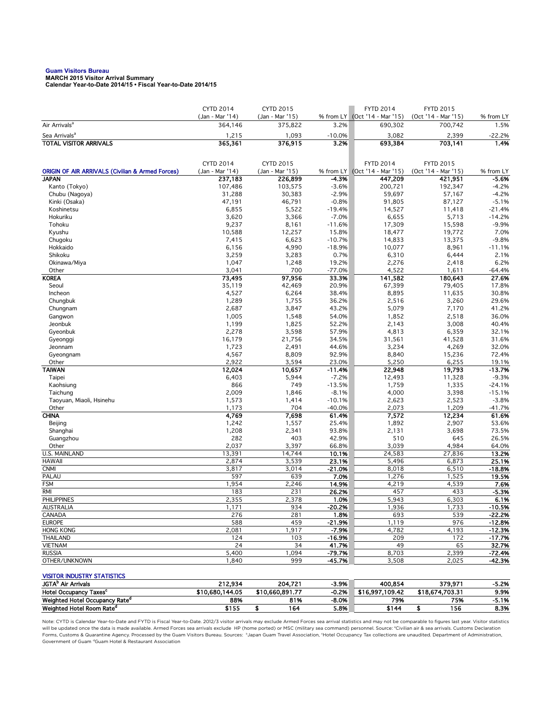## **Guam Visitors Bureau MARCH 2015 Visitor Arrival Summary**

**Calendar Year-to-Date 2014/15 • Fiscal Year-to-Date 2014/15** 

|                                                                             | <b>CYTD 2014</b>           | <b>CYTD 2015</b>           |                      | <b>FYTD 2014</b>               | <b>FYTD 2015</b>               |                    |
|-----------------------------------------------------------------------------|----------------------------|----------------------------|----------------------|--------------------------------|--------------------------------|--------------------|
|                                                                             | (Jan - Mar '14)            | (Jan - Mar '15)            |                      | % from LY (Oct '14 - Mar '15)  | (Oct '14 - Mar '15)            | % from LY          |
| Air Arrivals <sup>a</sup>                                                   | 364,146                    | 375,822                    | 3.2%                 | 690,302                        | 700,742                        | 1.5%               |
| Sea Arrivals <sup>a</sup><br><b>TOTAL VISITOR ARRIVALS</b>                  | 1,215                      | 1,093                      | $-10.0%$<br>3.2%     | 3,082                          | 2,399                          | $-22.2%$           |
|                                                                             | 365,361                    | 376,915                    |                      | 693,384                        | 703,141                        | 1.4%               |
|                                                                             |                            |                            |                      |                                |                                |                    |
|                                                                             | <b>CYTD 2014</b>           | <b>CYTD 2015</b>           |                      | <b>FYTD 2014</b>               | <b>FYTD 2015</b>               |                    |
| <b>ORIGIN OF AIR ARRIVALS (Civilian &amp; Armed Forces)</b><br><b>JAPAN</b> | (Jan - Mar '14)<br>237,183 | (Jan - Mar '15)<br>226,899 | % from LY<br>$-4.3%$ | (Oct '14 - Mar '15)<br>447,209 | (Oct '14 - Mar '15)<br>421,951 | % from LY<br>-5.6% |
| Kanto (Tokyo)                                                               | 107,486                    | 103,575                    | $-3.6%$              | 200,721                        | 192,347                        | $-4.2%$            |
| Chubu (Nagoya)                                                              | 31,288                     | 30,383                     | $-2.9%$              | 59,697                         | 57,167                         | $-4.2%$            |
| Kinki (Osaka)                                                               | 47,191                     | 46,791                     | $-0.8%$              | 91,805                         | 87,127                         | $-5.1%$            |
| Koshinetsu                                                                  | 6,855                      | 5,522                      | $-19.4%$             | 14,527                         | 11,418                         | $-21.4%$           |
| Hokuriku                                                                    | 3,620                      | 3,366                      | $-7.0%$              | 6,655                          | 5,713                          | $-14.2%$           |
| Tohoku                                                                      | 9,237                      | 8,161                      | $-11.6%$             | 17,309                         | 15,598                         | $-9.9%$            |
| Kyushu                                                                      | 10,588                     | 12,257                     | 15.8%                | 18,477                         | 19,772                         | 7.0%               |
| Chugoku                                                                     | 7,415                      | 6,623                      | $-10.7%$             | 14,833                         | 13,375                         | $-9.8%$            |
| Hokkaido<br>Shikoku                                                         | 6,156                      | 4,990                      | $-18.9%$<br>0.7%     | 10,077                         | 8,961                          | $-11.1%$<br>2.1%   |
| Okinawa/Miya                                                                | 3,259<br>1,047             | 3,283<br>1,248             | 19.2%                | 6,310<br>2,276                 | 6,444<br>2,418                 | 6.2%               |
| Other                                                                       | 3,041                      | 700                        | $-77.0%$             | 4,522                          | 1,611                          | $-64.4%$           |
| <b>KOREA</b>                                                                | 73,495                     | 97,956                     | 33.3%                | 141,582                        | 180,643                        | 27.6%              |
| Seoul                                                                       | 35,119                     | 42,469                     | 20.9%                | 67,399                         | 79,405                         | 17.8%              |
| Incheon                                                                     | 4,527                      | 6,264                      | 38.4%                | 8,895                          | 11,635                         | 30.8%              |
| Chungbuk                                                                    | 1,289                      | 1,755                      | 36.2%                | 2,516                          | 3,260                          | 29.6%              |
| Chungnam                                                                    | 2,687                      | 3,847                      | 43.2%                | 5,079                          | 7,170                          | 41.2%              |
| Gangwon                                                                     | 1,005                      | 1,548                      | 54.0%                | 1,852                          | 2,518                          | 36.0%              |
| Jeonbuk                                                                     | 1,199                      | 1,825                      | 52.2%                | 2,143                          | 3,008                          | 40.4%              |
| Gyeonbuk                                                                    | 2,278                      | 3,598                      | 57.9%                | 4,813                          | 6,359                          | 32.1%              |
| Gyeonggi                                                                    | 16,179                     | 21,756                     | 34.5%                | 31,561                         | 41,528                         | 31.6%              |
| Jeonnam                                                                     | 1,723                      | 2,491                      | 44.6%                | 3,234                          | 4,269                          | 32.0%              |
| Gyeongnam                                                                   | 4,567                      | 8,809                      | 92.9%                | 8,840                          | 15,236                         | 72.4%              |
| Other<br><b>TAIWAN</b>                                                      | 2,922<br>12,024            | 3,594<br>10,657            | 23.0%<br>$-11.4%$    | 5,250<br>22,948                | 6,255<br>19,793                | 19.1%<br>$-13.7%$  |
| Taipei                                                                      | 6,403                      | 5,944                      | $-7.2%$              | 12,493                         | 11,328                         | $-9.3%$            |
| Kaohsiung                                                                   | 866                        | 749                        | $-13.5%$             | 1,759                          | 1,335                          | $-24.1%$           |
| Taichung                                                                    | 2,009                      | 1,846                      | $-8.1%$              | 4,000                          | 3,398                          | $-15.1%$           |
| Taoyuan, Miaoli, Hsinehu                                                    | 1,573                      | 1,414                      | $-10.1%$             | 2,623                          | 2,523                          | $-3.8%$            |
| Other                                                                       | 1,173                      | 704                        | $-40.0%$             | 2,073                          | 1,209                          | $-41.7%$           |
| <b>CHINA</b>                                                                | 4,769                      | 7,698                      | 61.4%                | 7,572                          | 12,234                         | 61.6%              |
| Beijing                                                                     | 1,242                      | 1,557                      | 25.4%                | 1,892                          | 2,907                          | 53.6%              |
| Shanghai                                                                    | 1,208                      | 2,341                      | 93.8%                | 2,131                          | 3,698                          | 73.5%              |
| Guangzhou                                                                   | 282                        | 403                        | 42.9%                | 510                            | 645                            | 26.5%              |
| Other                                                                       | 2,037                      | 3,397                      | 66.8%                | 3,039                          | 4,984                          | 64.0%              |
| U.S. MAINLAND<br><b>HAWAII</b>                                              | 13,391<br>2,874            | 14,744<br>3,539            | 10.1%<br>23.1%       | 24,583<br>5,496                | 27,836                         | 13.2%<br>25.1%     |
| <b>CNMI</b>                                                                 | 3,817                      | 3,014                      | $-21.0%$             | 8,018                          | 6,873<br>6,510                 | $-18.8%$           |
| PALAU                                                                       | 597                        | 639                        | 7.0%                 | 1,276                          | 1,525                          | 19.5%              |
| <b>FSM</b>                                                                  | 1,954                      | 2,246                      | 14.9%                | 4,219                          | 4,539                          | 7.6%               |
| <b>RMI</b>                                                                  | 183                        | 231                        | 26.2%                | 457                            | 433                            | -5.3%              |
| <b>PHILIPPINES</b>                                                          | 2,355                      | 2,378                      | 1.0%                 | 5,943                          | 6,303                          | 6.1%               |
| AUSTRALIA                                                                   | 1,171                      | 934                        | $-20.2%$             | 1,936                          | 1,733                          | -10.5%             |
| CANADA                                                                      | 276                        | 281                        | 1.8%                 | 693                            | 539                            | $-22.2%$           |
| <b>EUROPE</b>                                                               | 588                        | 459                        | $-21.9%$             | 1,119                          | 976                            | -12.8%             |
| <b>HONG KONG</b>                                                            | 2,081                      | 1,917                      | $-7.9%$              | 4,782                          | 4,193                          | $-12.3%$           |
| <b>THAILAND</b>                                                             | 124                        | 103                        | $-16.9%$             | 209                            | 172                            | $-17.7%$           |
| <b>VIETNAM</b>                                                              | 24                         | 34                         | 41.7%                | 49                             | 65                             | 32.7%              |
| <b>RUSSIA</b>                                                               | 5,400                      | 1,094                      | $-79.7%$             | 8,703                          | 2,399                          | -72.4%             |
| OTHER/UNKNOWN                                                               | 1,840                      | 999                        | $-45.7%$             | 3,508                          | 2,025                          | -42.3%             |
| <b>VISITOR INDUSTRY STATISTICS</b>                                          |                            |                            |                      |                                |                                |                    |
| JGTA <sup>b</sup> Air Arrivals                                              | 212,934                    | 204,721                    | $-3.9%$              | 400,854                        | 379,971                        | $-5.2%$            |
| Hotel Occupancy Taxes <sup>c</sup>                                          | \$10,680,144.05            | \$10,660,891.77            | $-0.2%$              | \$16,997,109.42                | \$18,674,703.31                | 9.9%               |

Note: CYTD is Calendar Year-to-Date and FYTD is Fiscal Year-to-Date. 2012/3 visitor arrivals may exclude Armed Forces sea arrival statistics and may not be comparable to figures last year. Visitor statistics will be updated once the data is made available. Armed Forces sea arrivals exclude HP (home ported) or MSC (military sea command) personnel. Source: °Civilian air & sea arrivals. Customs Declaration<br>Forms, Customs & Quaran Government of Guam dGuam Hotel & Restaurant Association

Weighted Hotel Occupancy Rate<sup>d</sup> 88% 81% <del>8.0% 79% 75%</del> -5.1% Weighted Hotel Room Rate<sup>d</sup> \$155 \$ 164 5.8% \$144 \$ 156 8.3%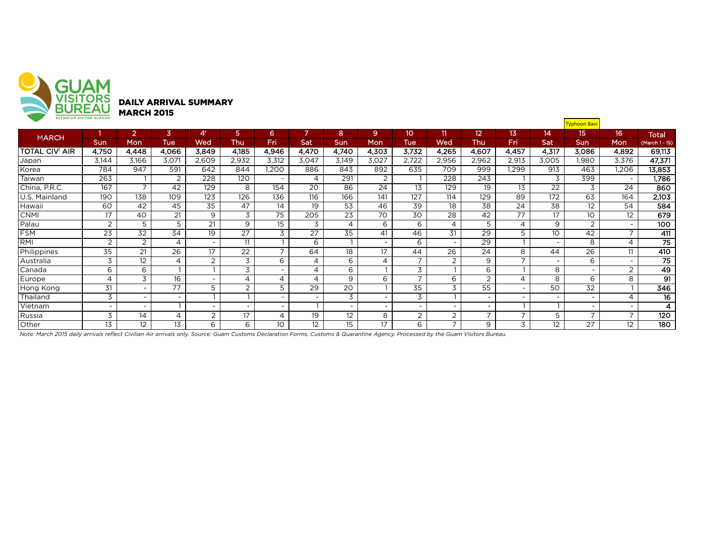

|                        | <b>SETBISION BISITAN GUAHAN</b> |                          |                          |                          |                          |                          |                 |                          |                          |                          |                          |                          |                          |                          | <b>Typhoon Bavi</b>      |                          |                 |
|------------------------|---------------------------------|--------------------------|--------------------------|--------------------------|--------------------------|--------------------------|-----------------|--------------------------|--------------------------|--------------------------|--------------------------|--------------------------|--------------------------|--------------------------|--------------------------|--------------------------|-----------------|
|                        |                                 | $\overline{2}$           | $\overline{3}$           | 4'                       | 5.                       | 6                        | 7               | 8                        | 9                        | 10 <sup>2</sup>          | 11                       | 12 <sup>2</sup>          | 13                       | 14                       | 15                       | 16 <sup>°</sup>          | <b>Total</b>    |
| <b>MARCH</b>           | Sun                             | Mon                      | Tue                      | Wed                      | Thu                      | Fri                      | Sat             | Sun                      | <b>Mon</b>               | <b>Tue</b>               | Wed                      | Thu                      | Fri                      | Sat                      | Sun                      | Mon                      | (March 1 - 15)  |
| TOTAL CIV' AIR         | 4,750                           | 4,448                    | 4,066                    | 3,849                    | 4,185                    | 4,946                    | 4,470           | 4,740                    | 4,303                    | 3,732                    | 4,265                    | 4,607                    | 4,457                    | 4,317                    | 3,086                    | 4,892                    | 69,113          |
| Japan                  | 3,144                           | 3,166                    | 3,071                    | 2,609                    | 2,932                    | 3,312                    | 3,047           | 3.149                    | 3,027                    | 2,722                    | 2,956                    | 2,962                    | 2,913                    | 3,005                    | .980                     | 3,376                    | 47,371          |
| Korea                  | 784                             | 947                      | 591                      | 642                      | 844                      | ,200                     | 886             | 843                      | 892                      | 635                      | 709                      | 999                      | ,299                     | 913                      | 463                      | 1,206                    | 13,853          |
| Taiwan                 | 263                             |                          | $\overline{2}$           | 228                      | 120                      |                          | 4               | 291                      | 2                        |                          | 228                      | 243                      |                          | 3                        | 399                      | <b>.</b>                 | 1,786           |
| China, P.R.C.          | 167                             | $\overline{7}$           | 42                       | $\overline{129}$         | 8                        | 154                      | $\overline{20}$ | 86                       | $\overline{24}$          | 13                       | 129                      | 19                       | 13                       | 22                       | 3                        | 24                       | 860             |
| <b>I</b> U.S. Mainland | 190                             | 138                      | 109                      | 123                      | 126                      | 136                      | 116             | 166                      | 141                      | 127                      | 114                      | 129                      | 89                       | 172                      | 63                       | 164                      | 2,103           |
| Hawaii                 | 60                              | 42                       | 45                       | 35                       | 47                       | 14                       | 19              | 53                       | 46                       | 39                       | 18                       | 38                       | 24                       | 38                       | 12                       | 54                       | 584             |
| <b>CNMI</b>            | 17                              | 40                       | 21                       | 9                        | 3                        | 75                       | 205             | 23                       | 70                       | 30                       | 28                       | 42                       | 77                       | 17                       | 10                       | 12                       | 679             |
| Palau                  | $\overline{2}$                  | 5                        | 5                        | 21                       | 9                        | 15                       | 3               | 4                        | 6                        | 6                        | 4                        | 5                        | 4                        | 9                        | 2                        |                          | 100             |
| <b>FSM</b>             | 23                              | $\overline{32}$          | 34                       | 19                       | 27                       | 3                        | 27              | 35                       | 41                       | 46                       | 31                       | 29                       | 5                        | 10 <sup>°</sup>          | 42                       | $\overline{7}$           | 411             |
| RMI                    | $\overline{2}$                  | $\overline{2}$           | 4                        | $\overline{\phantom{a}}$ | 11                       |                          | 6               |                          | $\overline{\phantom{0}}$ | 6                        | $\overline{\phantom{0}}$ | 29                       |                          | $\overline{\phantom{a}}$ | 8                        | 4                        | 75              |
| Philippines            | 35                              | 21                       | 26                       | 17                       | 22                       | $\overline{ }$           | 64              | 18                       | 17                       | 44                       | 26                       | 24                       | 8                        | 44                       | 26                       | 11                       | 410             |
| Australia              | 3                               | 12                       | $\overline{4}$           | 2                        | 3                        | 6                        | 4               | 6                        | $\overline{4}$           | $\overline{7}$           | 2                        | 9                        | $\overline{ }$           | $\overline{\phantom{0}}$ | 6                        | $\overline{\phantom{0}}$ | 75              |
| Canada                 | 6                               | 6                        |                          |                          | 3                        | $\overline{\phantom{0}}$ |                 | 6                        |                          | 3                        |                          | 6                        |                          | 8                        |                          | $\overline{2}$           | 49              |
| Europe                 | $\overline{4}$                  | 3                        | 16                       | $\overline{\phantom{0}}$ | 4                        | 4                        |                 | 9                        | 6                        | $\overline{\phantom{a}}$ | 6                        | 2                        | 4                        | 8                        | 6                        | 8                        | 91              |
| Hong Kong              | 31                              | $\overline{\phantom{a}}$ | 77                       | 5                        | 2                        | 5                        | 29              | 20                       |                          | 35                       | 3                        | 55                       | $\overline{\phantom{a}}$ | 50                       | 32                       |                          | 346             |
| Thailand               | 3                               | ۰                        | $\overline{\phantom{0}}$ |                          |                          |                          |                 | 3                        |                          | 3                        |                          | $\overline{\phantom{0}}$ | $\overline{\phantom{0}}$ | $\overline{\phantom{0}}$ |                          | 4                        | $\overline{16}$ |
| Vietnam                | $\overline{\phantom{a}}$        | $\overline{\phantom{a}}$ |                          | $\sim$                   | $\overline{\phantom{0}}$ | $\overline{\phantom{0}}$ |                 | $\overline{\phantom{0}}$ | $\overline{\phantom{0}}$ |                          | $\overline{\phantom{0}}$ | $\overline{\phantom{a}}$ |                          |                          | $\overline{\phantom{0}}$ | $\overline{a}$           | 4               |
| Russia                 | 3                               | 14                       | 4                        | 2                        | 17                       | 4                        | 19              | 12                       | 8                        | $\overline{2}$           | $\overline{2}$           | $\overline{ }$           | $\overline{ }$           | 5                        | ⇁                        | $\overline{7}$           | 120             |
| Other                  | 13                              | 12                       | 13                       | 6                        | 6                        | 10 <sup>°</sup>          | 12              | 15                       | 17                       | 6                        | $\overline{7}$           | 9                        | 3                        | 12 <sup>2</sup>          | 27                       | 12                       | 180             |

*Note: March 2015 daily arrivals reflect Civilian Air arrivals only. Source: Guam Customs Declaration Forms, Customs & Quarantine Agency. Processed by the Guam Visitors Bureau.*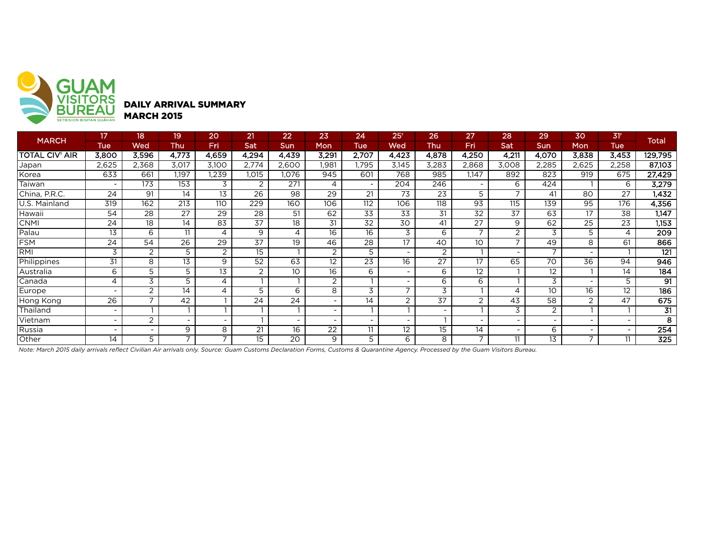

DAILY ARRIVAL SUMMARY

|                | 17                       | 18                       | 19                       | 20                       | 21               | 22         | 23                       | 24                       | 25 <sup>r</sup>          | 26                       | 27                       | 28                       | 29             | 30    | 31                       |                 |
|----------------|--------------------------|--------------------------|--------------------------|--------------------------|------------------|------------|--------------------------|--------------------------|--------------------------|--------------------------|--------------------------|--------------------------|----------------|-------|--------------------------|-----------------|
| <b>MARCH</b>   | <b>Tue</b>               | Wed                      | Thu                      | Fri                      | <b>Sat</b>       | <b>Sun</b> | Mon                      | <b>Tue</b>               | Wed                      | Thu                      | Fri                      | Sat                      | Sun            | Mon   | <b>Tue</b>               | <b>Total</b>    |
| TOTAL CIV' AIR | 3,800                    | 3,596                    | 4,773                    | 4,659                    | 4,294            | 4,439      | 3,291                    | 2,707                    | 4,423                    | 4,878                    | 4,250                    | 4,211                    | 4,070          | 3,838 | 3,453                    | 129,795         |
| Japan          | 2,625                    | 2,368                    | 3,017                    | 3,100                    | 2,774            | 2,600      | 1.981                    | 1,795                    | 3,145                    | 3,283                    | 2,868                    | 3,008                    | 2,285          | 2,625 | 2,258                    | 87,103          |
| Korea          | 633                      | 661                      | 1,197                    | .239                     | 1,015            | .076       | 945                      | 601                      | 768                      | 985                      | 1,147                    | 892                      | 823            | 919   | 675                      | 27,429          |
| Taiwan         | $\overline{\phantom{a}}$ | 173                      | 153                      | 3                        | $\overline{2}$   | 271        | $\overline{4}$           | $\overline{\phantom{a}}$ | 204                      | 246                      | $\overline{\phantom{a}}$ | 6                        | 424            |       | 6                        | 3,279           |
| China, P.R.C.  | 24                       | 91                       | 14                       | 13                       | 26               | 98         | 29                       | 21                       | 73                       | 23                       | 5                        | $\overline{7}$           | 41             | 80    | 27                       | 1,432           |
| U.S. Mainland  | 319                      | 162                      | 213                      | 110                      | 229              | 160        | 106                      | 112                      | 106                      | 118                      | 93                       | 115                      | 139            | 95    | 176                      | 4,356           |
| Hawaii         | 54                       | 28                       | 27                       | 29                       | 28               | 51         | 62                       | 33                       | 33                       | 31                       | $\overline{32}$          | 37                       | 63             | 17    | 38                       | 1,147           |
| <b>CNMI</b>    | 24                       | 18                       | 14                       | 83                       | 37               | 18         | 31                       | $\overline{32}$          | 30                       | 41                       | 27                       | 9                        | 62             | 25    | 23                       | 1,153           |
| Palau          | 13                       | 6                        | 11                       | 4                        | 9                | 4          | $\overline{16}$          | 16                       | 3                        | 6                        | $\overline{7}$           | 2                        | 3              | 5     | 4                        | 209             |
| <b>FSM</b>     | 24                       | 54                       | 26                       | 29                       | $\overline{37}$  | 19         | 46                       | 28                       | $\overline{17}$          | 40                       | 10 <sup>°</sup>          | $\overline{ }$           | 49             | 8     | 61                       | 866             |
| RMI            | 3                        | 2                        | 5                        | 2                        | 15               |            | 2                        | 5                        | $\overline{\phantom{a}}$ | 2                        |                          |                          |                |       |                          | 121             |
| Philippines    | 31                       | 8                        | 13                       | 9                        | 52               | 63         | 12                       | 23                       | 16                       | 27                       | 17                       | 65                       | 70             | 36    | 94                       | 946             |
| Australia      | 6                        | 5                        | 5                        | 13                       | 2                | 10         | 16                       | 6                        | $\overline{\phantom{0}}$ | 6                        | $12 \overline{ }$        |                          | 12             |       | 14                       | 184             |
| Canada         | 4                        | 3                        | 5                        | $\overline{4}$           |                  |            | 2                        |                          | $\overline{\phantom{0}}$ | 6                        | 6                        |                          | 3              |       | 5                        | $\overline{91}$ |
| Europe         | $\overline{\phantom{a}}$ | 2                        | 14                       | $\overline{4}$           | 5                | 6          | 8                        | 3                        | $\overline{ }$           | 3                        |                          | 4                        | 10             | 16    | 12                       | 186             |
| Hong Kong      | 26                       |                          | 42                       |                          | 24               | 24         | $\overline{\phantom{a}}$ | 14                       | $\overline{2}$           | 37                       | 2                        | 43                       | 58             | 2     | 47                       | 675             |
| Thailand       | $\overline{\phantom{a}}$ |                          |                          |                          |                  |            | $\overline{\phantom{a}}$ |                          |                          | $\overline{\phantom{a}}$ |                          | 3                        | $\overline{2}$ |       |                          | $\overline{31}$ |
| Vietnam        | $\overline{\phantom{a}}$ | $\overline{2}$           | $\overline{\phantom{a}}$ | $\overline{\phantom{0}}$ |                  |            |                          | ٠                        | $\overline{\phantom{a}}$ |                          |                          |                          |                |       | $\overline{\phantom{a}}$ | 8               |
| Russia         | $\overline{\phantom{a}}$ | $\overline{\phantom{a}}$ | 9                        | 8                        | 21               | 16         | $\overline{22}$          | 11                       | 12                       | $\overline{15}$          | 14                       | $\overline{\phantom{a}}$ | 6              |       | $\overline{\phantom{0}}$ | 254             |
| Other          | 14                       | 5                        | $\overline{\phantom{0}}$ | $\overline{ }$           | 15 <sup>15</sup> | 20         | 9                        | 5                        | 6                        | 8                        | 7                        | 11                       | 13             |       | 11                       | 325             |

*Note: March 2015 daily arrivals reflect Civilian Air arrivals only. Source: Guam Customs Declaration Forms, Customs & Quarantine Agency. Processed by the Guam Visitors Bureau.*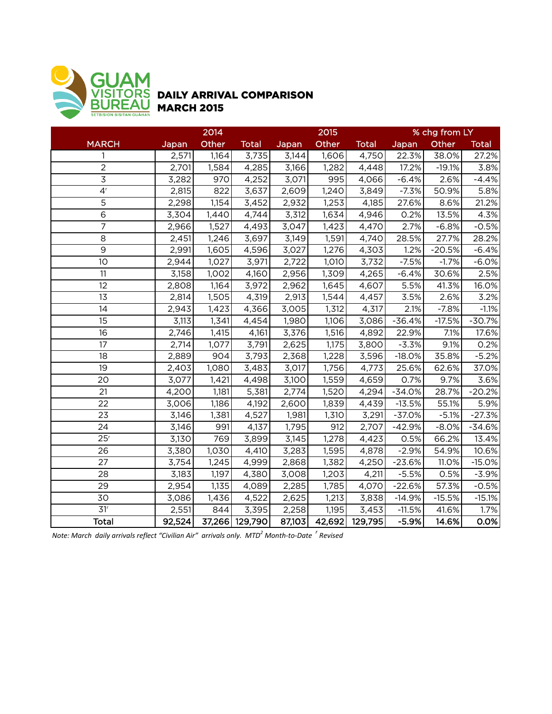

## DAILY ARRIVAL COMPARISON MARCH 2015

|                 |        | 2014   |              |        | 2015   |              |          | % chg from LY |              |
|-----------------|--------|--------|--------------|--------|--------|--------------|----------|---------------|--------------|
| <b>MARCH</b>    | Japan  | Other  | <b>Total</b> | Japan  | Other  | <b>Total</b> | Japan    | Other         | <b>Total</b> |
| 1               | 2,571  | 1,164  | 3,735        | 3,144  | 1,606  | 4,750        | 22.3%    | 38.0%         | 27.2%        |
| $\overline{2}$  | 2,701  | 1,584  | 4,285        | 3,166  | 1,282  | 4,448        | 17.2%    | $-19.1%$      | 3.8%         |
| $\overline{3}$  | 3,282  | 970    | 4,252        | 3,071  | 995    | 4,066        | $-6.4%$  | 2.6%          | $-4.4%$      |
| $4^r$           | 2,815  | 822    | 3,637        | 2,609  | 1,240  | 3,849        | $-7.3%$  | 50.9%         | 5.8%         |
| $\overline{5}$  | 2,298  | 1,154  | 3,452        | 2,932  | 1,253  | 4,185        | 27.6%    | 8.6%          | 21.2%        |
| 6               | 3,304  | 1,440  | 4,744        | 3,312  | 1,634  | 4,946        | 0.2%     | 13.5%         | 4.3%         |
| $\overline{7}$  | 2,966  | 1,527  | 4,493        | 3,047  | 1,423  | 4,470        | 2.7%     | $-6.8%$       | $-0.5%$      |
| 8               | 2,451  | 1,246  | 3,697        | 3,149  | 1,591  | 4,740        | 28.5%    | 27.7%         | 28.2%        |
| $\mathsf 9$     | 2,991  | 1,605  | 4,596        | 3,027  | 1,276  | 4,303        | 1.2%     | $-20.5%$      | $-6.4%$      |
| 10              | 2,944  | 1,027  | 3,971        | 2,722  | 1,010  | 3,732        | $-7.5%$  | $-1.7%$       | $-6.0%$      |
| 11              | 3,158  | 1,002  | 4,160        | 2,956  | 1,309  | 4,265        | $-6.4%$  | 30.6%         | 2.5%         |
| 12              | 2,808  | 1,164  | 3,972        | 2,962  | 1,645  | 4,607        | 5.5%     | 41.3%         | 16.0%        |
| 13              | 2,814  | 1,505  | 4,319        | 2,913  | 1,544  | 4,457        | 3.5%     | 2.6%          | 3.2%         |
| 14              | 2,943  | 1,423  | 4,366        | 3,005  | 1,312  | 4,317        | 2.1%     | $-7.8%$       | $-1.1%$      |
| 15              | 3,113  | 1,341  | 4,454        | 1,980  | 1,106  | 3,086        | $-36.4%$ | $-17.5%$      | $-30.7%$     |
| 16              | 2,746  | 1,415  | 4,161        | 3,376  | 1,516  | 4,892        | 22.9%    | 7.1%          | 17.6%        |
| 17              | 2,714  | 1,077  | 3,791        | 2,625  | 1,175  | 3,800        | $-3.3%$  | 9.1%          | 0.2%         |
| 18              | 2,889  | 904    | 3,793        | 2,368  | 1,228  | 3,596        | $-18.0%$ | 35.8%         | $-5.2%$      |
| 19              | 2,403  | 1,080  | 3,483        | 3,017  | 1,756  | 4,773        | 25.6%    | 62.6%         | 37.0%        |
| 20              | 3,077  | 1,421  | 4,498        | 3,100  | 1,559  | 4,659        | 0.7%     | 9.7%          | 3.6%         |
| 21              | 4,200  | 1,181  | 5,381        | 2,774  | 1,520  | 4,294        | $-34.0%$ | 28.7%         | $-20.2%$     |
| 22              | 3,006  | 1,186  | 4,192        | 2,600  | 1,839  | 4,439        | $-13.5%$ | 55.1%         | 5.9%         |
| 23              | 3,146  | 1,381  | 4,527        | 1,981  | 1,310  | 3,291        | $-37.0%$ | $-5.1%$       | $-27.3%$     |
| $\overline{24}$ | 3,146  | 991    | 4,137        | 1,795  | 912    | 2,707        | $-42.9%$ | $-8.0%$       | $-34.6%$     |
| 25 <sup>r</sup> | 3,130  | 769    | 3,899        | 3,145  | 1,278  | 4,423        | 0.5%     | 66.2%         | 13.4%        |
| 26              | 3,380  | 1,030  | 4,410        | 3,283  | 1,595  | 4,878        | $-2.9%$  | 54.9%         | 10.6%        |
| 27              | 3,754  | 1,245  | 4,999        | 2,868  | 1,382  | 4,250        | $-23.6%$ | 11.0%         | $-15.0%$     |
| 28              | 3,183  | 1,197  | 4,380        | 3,008  | 1,203  | 4,211        | $-5.5%$  | 0.5%          | $-3.9%$      |
| 29              | 2,954  | 1,135  | 4,089        | 2,285  | 1,785  | 4,070        | $-22.6%$ | 57.3%         | $-0.5%$      |
| 30              | 3,086  | 1,436  | 4,522        | 2,625  | 1,213  | 3,838        | $-14.9%$ | $-15.5%$      | $-15.1%$     |
| 31 <sup>r</sup> | 2,551  | 844    | 3,395        | 2,258  | 1,195  | 3,453        | $-11.5%$ | 41.6%         | 1.7%         |
| Total           | 92,524 | 37,266 | 129,790      | 87,103 | 42,692 | 129,795      | $-5.9%$  | 14.6%         | 0.0%         |

*Note: March daily arrivals reflect "Civilian Air" arrivals only. MTD<sup>2</sup> Month-to-Date <sup>r</sup> Revised*